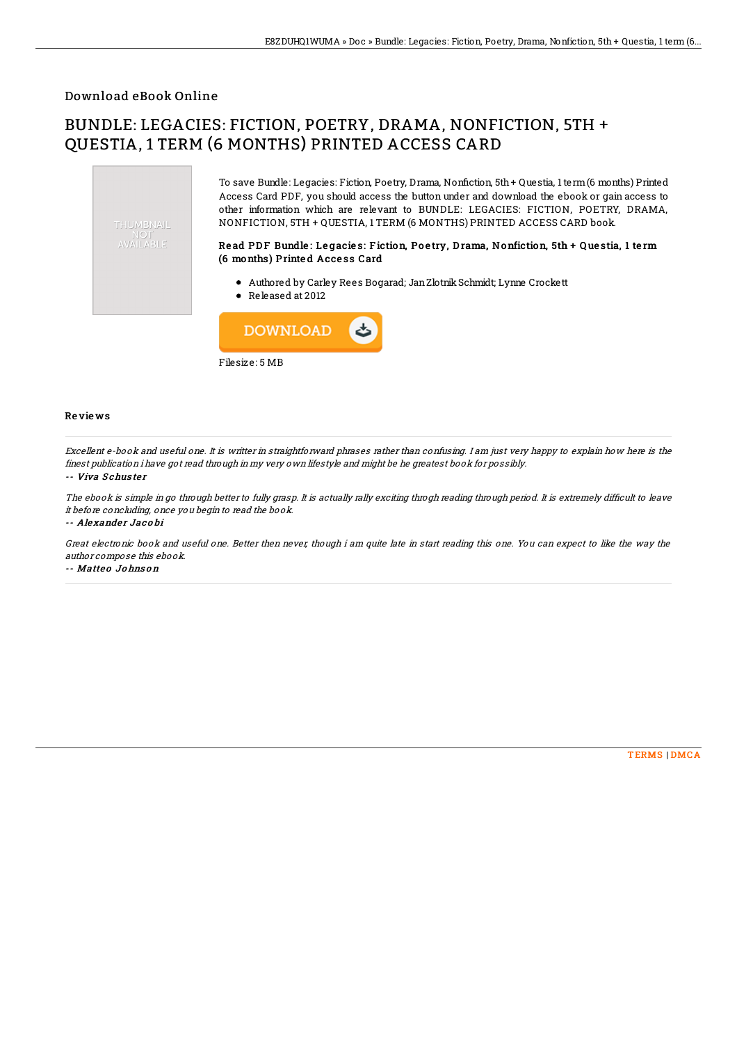## Download eBook Online

# BUNDLE: LEGACIES: FICTION, POETRY, DRAMA, NONFICTION, 5TH + QUESTIA, 1 TERM (6 MONTHS) PRINTED ACCESS CARD



Filesize: 5 MB

## Re vie ws

Excellent e-book and useful one. It is writter in straightforward phrases rather than confusing. I am just very happy to explain how here is the finest publication i have got read through in my very own lifestyle and might be he greatest book for possibly.

### -- Viva Schuster

The ebook is simple in go through better to fully grasp. It is actually rally exciting throgh reading through period. It is extremely difficult to leave it before concluding, once you begin to read the book.

#### -- Ale xande <sup>r</sup> Jac o bi

Great electronic book and useful one. Better then never, though i am quite late in start reading this one. You can expect to like the way the author compose this ebook.

#### -- Matteo Johnson